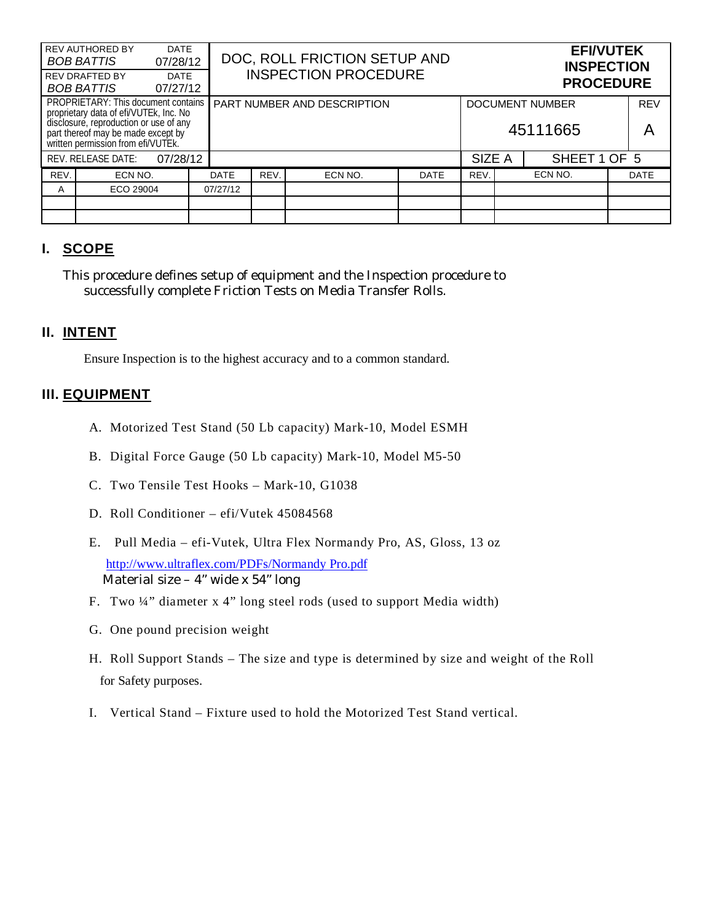|                                                                                                                                                                                                            | <b>REV AUTHORED BY</b><br><b>BOB BATTIS</b><br><b>REV DRAFTED BY</b><br><b>BOB BATTIS</b> | <b>DATE</b><br>07/28/12<br><b>DATE</b><br>07/27/12 |          | DOC, ROLL FRICTION SETUP AND<br><b>INSPECTION PROCEDURE</b> |         |             |                                    | <b>EFI/VUTEK</b><br><b>INSPECTION</b><br><b>PROCEDURE</b> |                 |  |             |
|------------------------------------------------------------------------------------------------------------------------------------------------------------------------------------------------------------|-------------------------------------------------------------------------------------------|----------------------------------------------------|----------|-------------------------------------------------------------|---------|-------------|------------------------------------|-----------------------------------------------------------|-----------------|--|-------------|
| <b>PROPRIETARY: This document contains</b><br>proprietary data of efi/VUTEk, Inc. No<br>disclosure, reproduction or use of any<br>part thereof may be made except by<br>written permission from efi/VUTEk. |                                                                                           |                                                    |          | PART NUMBER AND DESCRIPTION                                 |         |             | <b>DOCUMENT NUMBER</b><br>45111665 |                                                           | <b>REV</b><br>A |  |             |
| <b>REV. RELEASE DATE:</b><br>07/28/12                                                                                                                                                                      |                                                                                           |                                                    |          |                                                             |         |             | SIZE A                             |                                                           | SHEET 1 OF 5    |  |             |
| REV.                                                                                                                                                                                                       | ECN NO.                                                                                   |                                                    | DATE     | REV.                                                        | ECN NO. | <b>DATE</b> | REV.                               |                                                           | ECN NO.         |  | <b>DATE</b> |
| A                                                                                                                                                                                                          | ECO 29004                                                                                 |                                                    | 07/27/12 |                                                             |         |             |                                    |                                                           |                 |  |             |
|                                                                                                                                                                                                            |                                                                                           |                                                    |          |                                                             |         |             |                                    |                                                           |                 |  |             |
|                                                                                                                                                                                                            |                                                                                           |                                                    |          |                                                             |         |             |                                    |                                                           |                 |  |             |

# **I. SCOPE**

This procedure defines setup of equipment and the Inspection procedure to successfully complete Friction Tests on Media Transfer Rolls.

## **II. INTENT**

Ensure Inspection is to the highest accuracy and to a common standard.

#### **III. EQUIPMENT**

- A. Motorized Test Stand (50 Lb capacity) Mark-10, Model ESMH
- B. Digital Force Gauge (50 Lb capacity) Mark-10, Model M5-50
- C. Two Tensile Test Hooks Mark-10, G1038
- D. Roll Conditioner efi/Vutek 45084568
- E. Pull Media efi-Vutek, Ultra Flex Normandy Pro, AS, Gloss, 13 oz http://www.ultraflex.com/PDFs/Normandy Pro.pdf Material size – 4" wide x 54" long
- F. Two ¼" diameter x 4" long steel rods (used to support Media width)
- G. One pound precision weight
- H. Roll Support Stands The size and type is determined by size and weight of the Roll for Safety purposes.
- I. Vertical Stand Fixture used to hold the Motorized Test Stand vertical.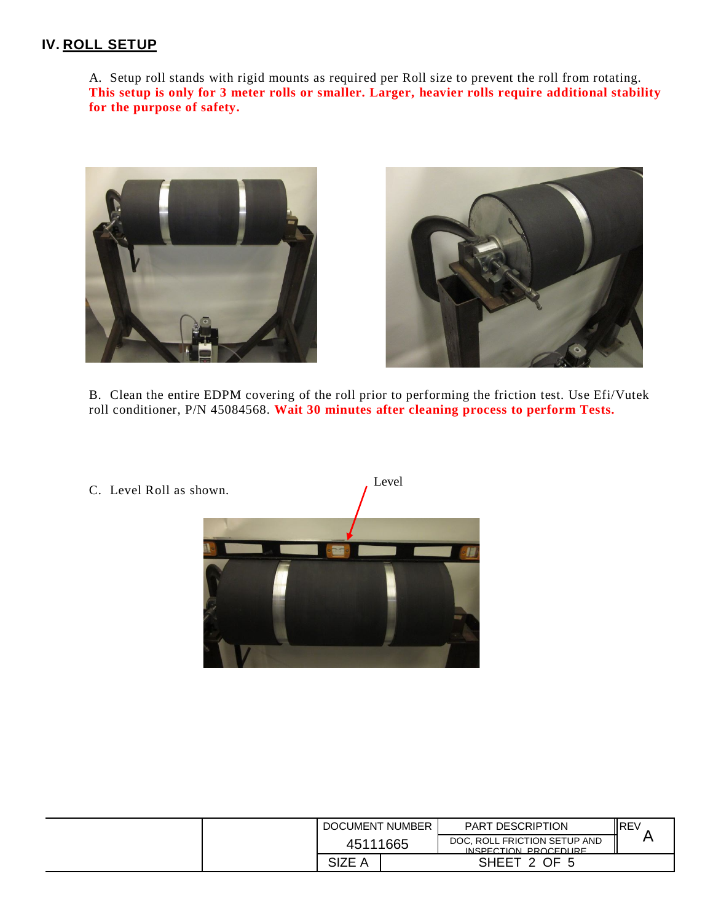## **IV. ROLL SETUP**

A. Setup roll stands with rigid mounts as required per Roll size to prevent the roll from rotating. **This setup is only for 3 meter rolls or smaller. Larger, heavier rolls require additional stability for the purpose of safety.**





B. Clean the entire EDPM covering of the roll prior to performing the friction test. Use Efi/Vutek roll conditioner, P/N 45084568. **Wait 30 minutes after cleaning process to perform Tests.**



C. Level Roll as shown.

| DOCUMENT NUMBER | <b>PART DESCRIPTION</b>                              | ll REV |
|-----------------|------------------------------------------------------|--------|
| 45111665        | DOC, ROLL FRICTION SETUP AND<br>INSPECTION PROCEDURE |        |
| <b>SIZE</b>     | SHEET 2 OF                                           |        |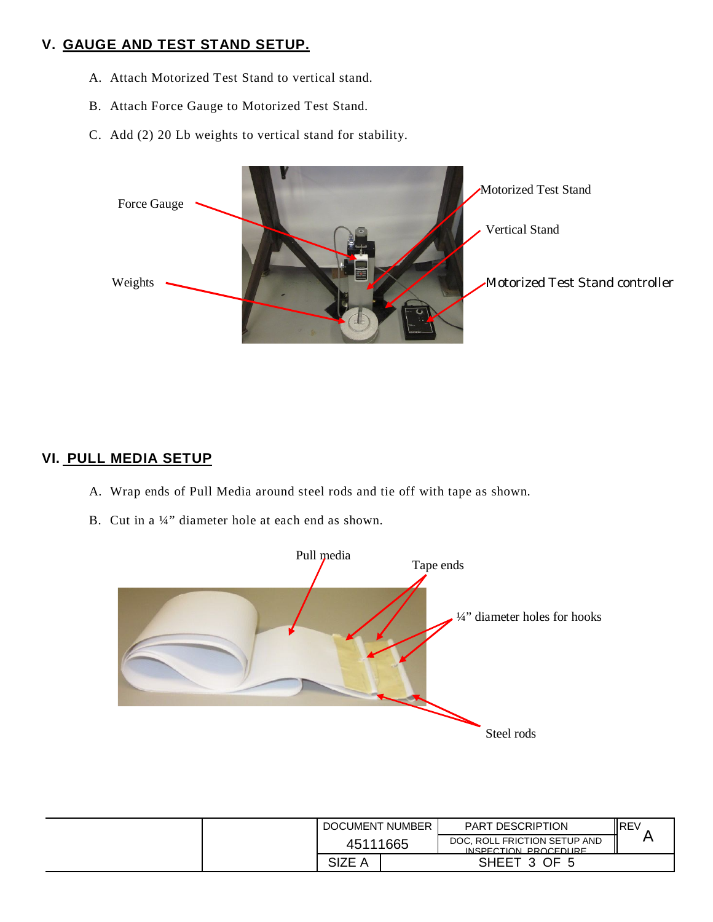# **V. GAUGE AND TEST STAND SETUP.**

- A. Attach Motorized Test Stand to vertical stand.
- B. Attach Force Gauge to Motorized Test Stand.
- C. Add (2) 20 Lb weights to vertical stand for stability.



#### **VI. PULL MEDIA SETUP**

- A. Wrap ends of Pull Media around steel rods and tie off with tape as shown.
- B. Cut in a ¼" diameter hole at each end as shown.



|  | DOCUMENT NUMBER |              | <b>PART DESCRIPTION</b>                              | <b>IREV</b> |  |
|--|-----------------|--------------|------------------------------------------------------|-------------|--|
|  | 45111665        |              | DOC, ROLL FRICTION SETUP AND<br>INSPECTION PROCEDURE |             |  |
|  | <b>SIZE</b>     | SHEET 3 OF 5 |                                                      |             |  |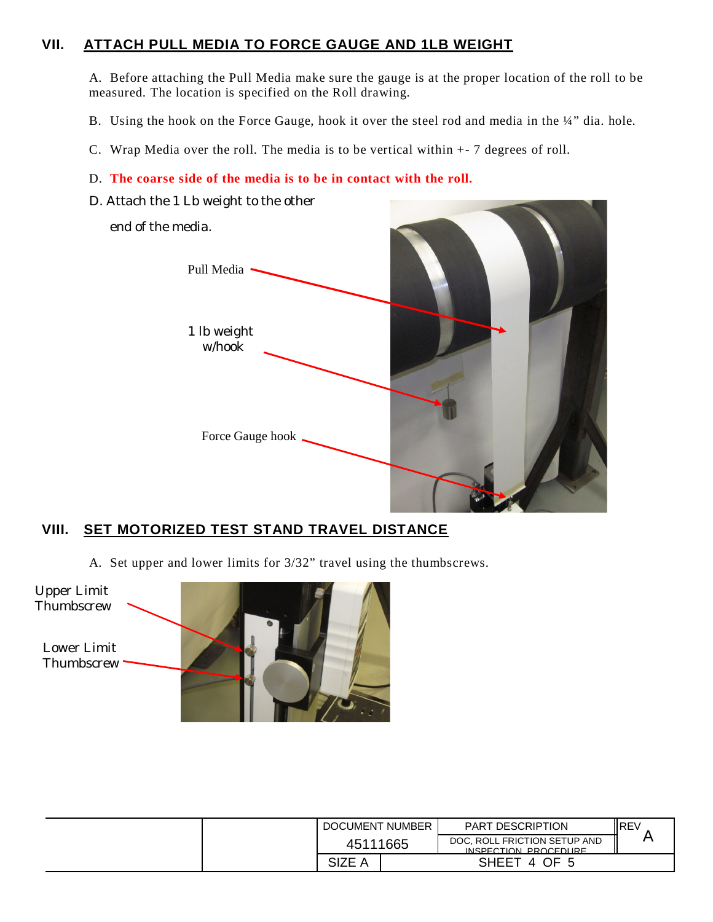## **VII. ATTACH PULL MEDIA TO FORCE GAUGE AND 1LB WEIGHT**

A. Before attaching the Pull Media make sure the gauge is at the proper location of the roll to be measured. The location is specified on the Roll drawing.

- B. Using the hook on the Force Gauge, hook it over the steel rod and media in the ¼" dia. hole.
- C. Wrap Media over the roll. The media is to be vertical within +- 7 degrees of roll.

#### D. **The coarse side of the media is to be in contact with the roll.**

D. Attach the 1 Lb weight to the other



## **VIII. SET MOTORIZED TEST STAND TRAVEL DISTANCE**

A. Set upper and lower limits for 3/32" travel using the thumbscrews.



|        | DOCUMENT NUMBER | PART DESCRIPTION                                     | <b>IREV</b> |  |
|--------|-----------------|------------------------------------------------------|-------------|--|
|        | 45111665        | DOC, ROLL FRICTION SETUP AND<br>INSPECTION PROCEDURE |             |  |
| SIZE A |                 | SHEET 4 OF 5                                         |             |  |